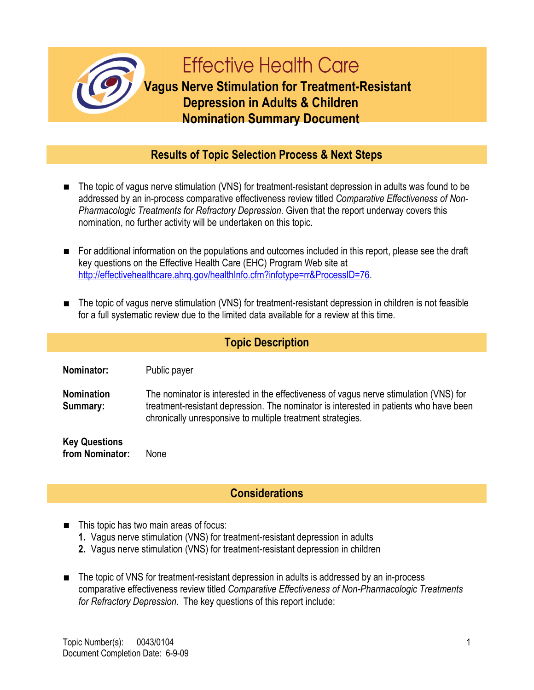

## **Results of Topic Selection Process & Next Steps**

- The topic of vagus nerve stimulation (VNS) for treatment-resistant depression in adults was found to be addressed by an in-process comparative effectiveness review titled *Comparative Effectiveness of Non-Pharmacologic Treatments for Refractory Depression.* Given that the report underway covers this nomination, no further activity will be undertaken on this topic.
- For additional information on the populations and outcomes included in this report, please see the draft key questions on the Effective Health Care (EHC) Program Web site at http://effectivehealthcare.ahrg.gov/healthInfo.cfm?infotype=rr&ProcessID=76.
- The topic of vagus nerve stimulation (VNS) for treatment-resistant depression in children is not feasible for a full systematic review due to the limited data available for a review at this time.

## **Topic Description**

**Nominator:** Public payer

**Nomination Summary:** The nominator is interested in the effectiveness of vagus nerve stimulation (VNS) for treatment-resistant depression. The nominator is interested in patients who have been chronically unresponsive to multiple treatment strategies.

**Key Questions from Nominator:** None

## **Considerations**

- This topic has two main areas of focus:
	- **1.** Vagus nerve stimulation (VNS) for treatment-resistant depression in adults
	- **2.** Vagus nerve stimulation (VNS) for treatment-resistant depression in children
- The topic of VNS for treatment-resistant depression in adults is addressed by an in-process comparative effectiveness review titled *Comparative Effectiveness of Non-Pharmacologic Treatments for Refractory Depression*. The key questions of this report include: